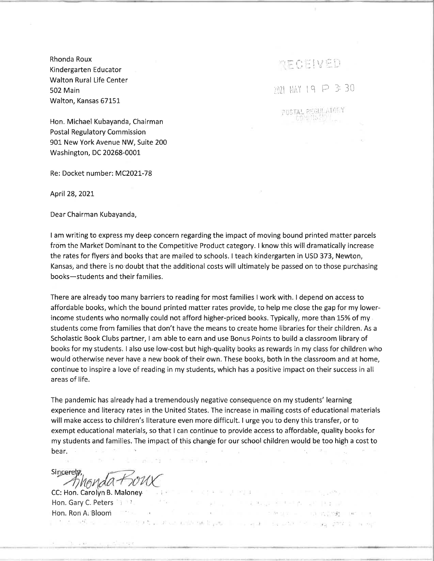Rhonda Roux Kindergarten Educator Walton Rural Life Center 502 Main Walton, Kansas 67151

PECENED

 $m$   $MN$  19  $P$  3:30

USTAL REGULATORY

Hon. Michael Kubayanda, Chairman Postal Regulatory Commission 901 New York Avenue NW, Suite 200 Washington, DC 20268-0001

Re: Docket number: MC202L-78

April28,202t

Dear Chairman Kubayanda,

<sup>I</sup>am writing to express my deep concern regarding the impact of moving bound printed matter parcels from the Market Dominant to the Competitive Product category. I know this will dramatically increase the rates for flyers and books that are mailed to schools. I teach kindergarten in USD 373, Newton, Kansas, and there is no doubt that the additional costs will ultimately be passed on to those purchasing books-students and their families.

There are already too many barriers to reading for most families I work with. I depend on access to affordable books, which the bound printed matter rates provide, to help me close the gap for my lowerincome students who normally could not afford higher-priced books. Typically, more than 15% of my students come from families that don't have the means to create home libraries for their children. As <sup>a</sup> Scholastic Book Clubs partner, I am able to earn and use Bonus.Points to build a classroom library of books for my students. I also use low-cost but high-quality books as rewards in my class for children who would otherwise never have a new book of their own. These books, both in the classroom and at home, continue to inspire a love of reading in my students, which has a positive impact on their success in all areas of life.

The pandemic has already had a tremendously negative consequence on my students' learning experience and literacy rates in the United States. The increase in mailing costs of educational materials will make access to children's literature even more difficult. I urge you to deny this transfer, or to exempt educational materials, so that I can continue to provide access to affordable, quality books for my students and families. The impact of this change for our school children would be too high a cost to bear.

and the second

The Controller

그는 아이들은 아이의 사람들은 아이들이 아이들이 없었다.

The U.S. and S. Monte Party of the Political

 $\mathbb{E}\left[ \mathcal{M}^{\mathcal{L}}\right] \left[ \mathcal{L}^{\mathcal{L}} \right] = \left[ \mathcal{L}^{\mathcal{L}}\right] \left[ \mathcal{L}^{\mathcal{L}}\right] \left[ \mathcal{L}^{\mathcal{L}}\right] \left[ \mathcal{M}^{\mathcal{L}} \right] = \mathcal{M}^{\mathcal{L}}$ 

For School School School School

 $\sim$   $\sim$ 

Sincerety

CC: Hon. Carolyn B. Maloney Hon. Gary C. Peters (1999) The amendment Hon. Ron A, Bloom ..; j: